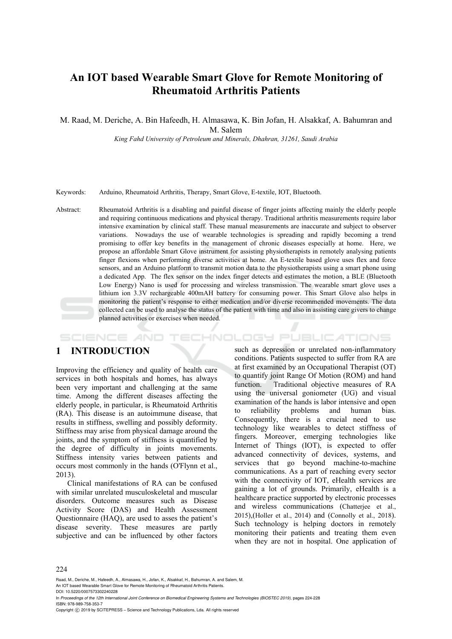# **An IOT based Wearable Smart Glove for Remote Monitoring of Rheumatoid Arthritis Patients**

M. Raad, M. Deriche, A. Bin Hafeedh, H. Almasawa, K. Bin Jofan, H. Alsakkaf, A. Bahumran and

M. Salem

*King Fahd University of Petroleum and Minerals, Dhahran, 31261, Saudi Arabia* 

Keywords: Arduino, Rheumatoid Arthritis, Therapy, Smart Glove, E-textile, IOT, Bluetooth.

Abstract: Rheumatoid Arthritis is a disabling and painful disease of finger joints affecting mainly the elderly people and requiring continuous medications and physical therapy. Traditional arthritis measurements require labor intensive examination by clinical staff. These manual measurements are inaccurate and subject to observer variations. Nowadays the use of wearable technologies is spreading and rapidly becoming a trend promising to offer key benefits in the management of chronic diseases especially at home. Here, we propose an affordable Smart Glove instrument for assisting physiotherapists in remotely analysing patients finger flexions when performing diverse activities at home. An E-textile based glove uses flex and force sensors, and an Arduino platform to transmit motion data to the physiotherapists using a smart phone using a dedicated App. The flex sensor on the index finger detects and estimates the motion, a BLE (Bluetooth Low Energy) Nano is used for processing and wireless transmission. The wearable smart glove uses a lithium ion 3.3V rechargeable 400mAH battery for consuming power. This Smart Glove also helps in monitoring the patient's response to either medication and/or diverse recommended movements. The data collected can be used to analyse the status of the patient with time and also in assisting care givers to change planned activities or exercises when needed.

#### **SCIENCE AND** HNOLOGY PUBLICATIONS

## **1 INTRODUCTION**

Improving the efficiency and quality of health care services in both hospitals and homes, has always been very important and challenging at the same time. Among the different diseases affecting the elderly people, in particular, is Rheumatoid Arthritis (RA). This disease is an autoimmune disease, that results in stiffness, swelling and possibly deformity. Stiffness may arise from physical damage around the joints, and the symptom of stiffness is quantified by the degree of difficulty in joints movements. Stiffness intensity varies between patients and occurs most commonly in the hands (O'Flynn et al., 2013).

Clinical manifestations of RA can be confused with similar unrelated musculoskeletal and muscular disorders. Outcome measures such as Disease Activity Score (DAS) and Health Assessment Questionnaire (HAQ), are used to asses the patient's disease severity. These measures are partly subjective and can be influenced by other factors

such as depression or unrelated non-inflammatory conditions. Patients suspected to suffer from RA are at first examined by an Occupational Therapist (OT) to quantify joint Range Of Motion (ROM) and hand function. Traditional objective measures of RA using the universal goniometer (UG) and visual examination of the hands is labor intensive and open to reliability problems and human bias. Consequently, there is a crucial need to use technology like wearables to detect stiffness of fingers. Moreover, emerging technologies like Internet of Things (IOT), is expected to offer advanced connectivity of devices, systems, and services that go beyond machine-to-machine communications. As a part of reaching every sector with the connectivity of IOT, eHealth services are gaining a lot of grounds. Primarily, eHealth is a healthcare practice supported by electronic processes and wireless communications (Chatterjee et al., 2015),(Holler et al., 2014) and (Connolly et al., 2018). Such technology is helping doctors in remotely monitoring their patients and treating them even when they are not in hospital. One application of

#### 224

Raad, M., Deriche, M., Hafeedh, A., Almasawa, H., Jofan, K., Alsakkaf, H., Bahumran, A. and Salem, M.

An IOT based Wearable Smart Glove for Remote Monitoring of Rheumatoid Arthritis Patients. DOI: 10.5220/0007573302240228

In *Proceedings of the 12th International Joint Conference on Biomedical Engineering Systems and Technologies (BIOSTEC 2019)*, pages 224-228 ISBN: 978-989-758-353-7

Copyright © 2019 by SCITEPRESS - Science and Technology Publications, Lda. All rights reserved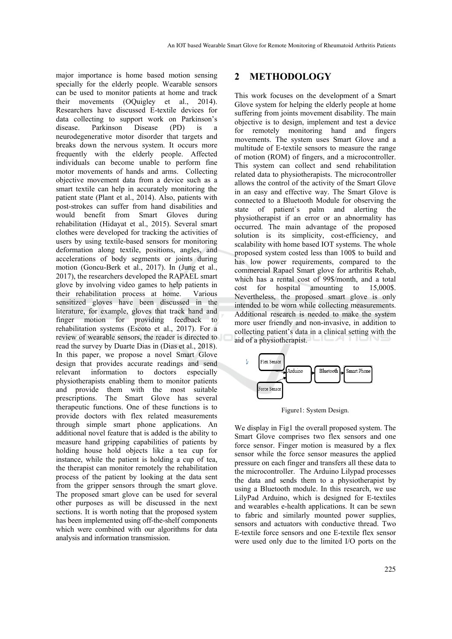major importance is home based motion sensing specially for the elderly people. Wearable sensors can be used to monitor patients at home and track their movements (OQuigley et al., 2014). Researchers have discussed E-textile devices for data collecting to support work on Parkinson's disease. Parkinson Disease (PD) is neurodegenerative motor disorder that targets and breaks down the nervous system. It occurs more frequently with the elderly people. Affected individuals can become unable to perform fine motor movements of hands and arms. Collecting objective movement data from a device such as a smart textile can help in accurately monitoring the patient state (Plant et al., 2014). Also, patients with post-strokes can suffer from hand disabilities and would benefit from Smart Gloves during rehabilitation (Hidayat et al., 2015). Several smart clothes were developed for tracking the activities of users by using textile-based sensors for monitoring deformation along textile, positions, angles, and accelerations of body segments or joints during motion (Goncu-Berk et al., 2017). In (Jung et al., 2017), the researchers developed the RAPAEL smart glove by involving video games to help patients in their rehabilitation process at home. Various sensitized gloves have been discussed in the literature, for example, gloves that track hand and<br>finger motion for providing feedback to finger motion for providing rehabilitation systems (Escoto et al., 2017). For a review of wearable sensors, the reader is directed to read the survey by Duarte Dias in (Dias et al., 2018). In this paper, we propose a novel Smart Glove design that provides accurate readings and send relevant information to doctors especially physiotherapists enabling them to monitor patients and provide them with the most suitable prescriptions. The Smart Glove has several therapeutic functions. One of these functions is to provide doctors with flex related measurements through simple smart phone applications. An additional novel feature that is added is the ability to measure hand gripping capabilities of patients by holding house hold objects like a tea cup for instance, while the patient is holding a cup of tea, the therapist can monitor remotely the rehabilitation process of the patient by looking at the data sent from the gripper sensors through the smart glove. The proposed smart glove can be used for several other purposes as will be discussed in the next sections. It is worth noting that the proposed system has been implemented using off-the-shelf components which were combined with our algorithms for data analysis and information transmission.

### **2 METHODOLOGY**

This work focuses on the development of a Smart Glove system for helping the elderly people at home suffering from joints movement disability. The main objective is to design, implement and test a device for remotely monitoring hand and fingers movements. The system uses Smart Glove and a multitude of E-textile sensors to measure the range of motion (ROM) of fingers, and a microcontroller. This system can collect and send rehabilitation related data to physiotherapists. The microcontroller allows the control of the activity of the Smart Glove in an easy and effective way. The Smart Glove is connected to a Bluetooth Module for observing the state of patient`s palm and alerting the physiotherapist if an error or an abnormality has occurred. The main advantage of the proposed solution is its simplicity, cost-efficiency, and scalability with home based IOT systems. The whole proposed system costed less than 100\$ to build and has low power requirements, compared to the commercial Rapael Smart glove for arthritis Rehab, which has a rental cost of 99\$/month, and a total cost for hospital amounting to 15,000\$. Nevertheless, the proposed smart glove is only intended to be worn while collecting measurements. Additional research is needed to make the system more user friendly and non-invasive, in addition to collecting patient's data in a clinical setting with the aid of a physiotherapist.



Figure1: System Design.

We display in Fig1 the overall proposed system. The Smart Glove comprises two flex sensors and one force sensor. Finger motion is measured by a flex sensor while the force sensor measures the applied pressure on each finger and transfers all these data to the microcontroller. The Arduino Lilypad processes the data and sends them to a physiotherapist by using a Bluetooth module. In this research, we use LilyPad Arduino, which is designed for E-textiles and wearables e-health applications. It can be sewn to fabric and similarly mounted power supplies, sensors and actuators with conductive thread. Two E-textile force sensors and one E-textile flex sensor were used only due to the limited I/O ports on the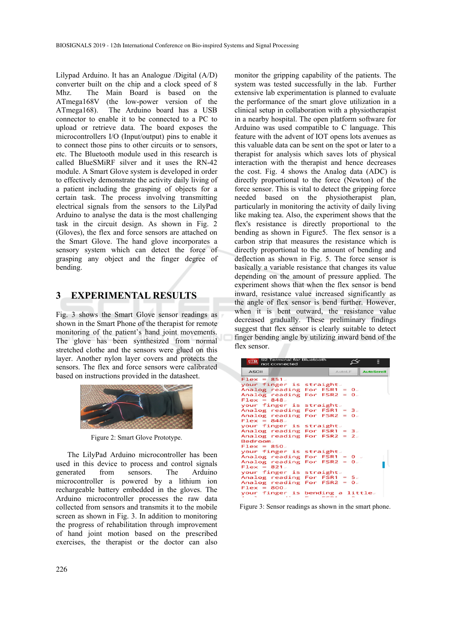Lilypad Arduino. It has an Analogue /Digital (A/D) converter built on the chip and a clock speed of 8 Mhz. The Main Board is based on the ATmega168V (the low-power version of the ATmega168). The Arduino board has a USB connector to enable it to be connected to a PC to upload or retrieve data. The board exposes the microcontrollers I/O (Input/output) pins to enable it to connect those pins to other circuits or to sensors, etc. The Bluetooth module used in this research is called BlueSMiRF silver and it uses the RN-42 module. A Smart Glove system is developed in order to effectively demonstrate the activity daily living of a patient including the grasping of objects for a certain task. The process involving transmitting electrical signals from the sensors to the LilyPad Arduino to analyse the data is the most challenging task in the circuit design. As shown in Fig. 2 (Gloves), the flex and force sensors are attached on the Smart Glove. The hand glove incorporates a sensory system which can detect the force of grasping any object and the finger degree of bending.

## **3 EXPERIMENTAL RESULTS**

Fig. 3 shows the Smart Glove sensor readings as shown in the Smart Phone of the therapist for remote monitoring of the patient's hand joint movements. The glove has been synthesized from normal stretched clothe and the sensors were glued on this layer. Another nylon layer covers and protects the sensors. The flex and force sensors were calibrated based on instructions provided in the datasheet.



Figure 2: Smart Glove Prototype.

The LilyPad Arduino microcontroller has been used in this device to process and control signals generated from sensors. The Arduino microcontroller is powered by a lithium ion rechargeable battery embedded in the gloves. The Arduino microcontroller processes the raw data collected from sensors and transmits it to the mobile screen as shown in Fig. 3. In addition to monitoring the progress of rehabilitation through improvement of hand joint motion based on the prescribed exercises, the therapist or the doctor can also

monitor the gripping capability of the patients. The system was tested successfully in the lab. Further extensive lab experimentation is planned to evaluate the performance of the smart glove utilization in a clinical setup in collaboration with a physiotherapist in a nearby hospital. The open platform software for Arduino was used compatible to C language. This feature with the advent of IOT opens lots avenues as this valuable data can be sent on the spot or later to a therapist for analysis which saves lots of physical interaction with the therapist and hence decreases the cost. Fig. 4 shows the Analog data (ADC) is directly proportional to the force (Newton) of the force sensor. This is vital to detect the gripping force needed based on the physiotherapist plan, particularly in monitoring the activity of daily living like making tea. Also, the experiment shows that the flex's resistance is directly proportional to the bending as shown in Figure5. The flex sensor is a carbon strip that measures the resistance which is directly proportional to the amount of bending and deflection as shown in Fig. 5. The force sensor is basically a variable resistance that changes its value depending on the amount of pressure applied. The experiment shows that when the flex sensor is bend inward, resistance value increased significantly as the angle of flex sensor is bend further. However, when it is bent outward, the resistance value decreased gradually. These preliminary findings suggest that flex sensor is clearly suitable to detect finger bending angle by utilizing inward bend of the flex sensor.

| S2 Terminal for Bluetooth<br><b>P.T.O.</b><br>not connected | ▤                                  |  |
|-------------------------------------------------------------|------------------------------------|--|
| <b>ASCII</b>                                                | <b>AutoScroll</b><br><b>AutoLE</b> |  |
| $Flex = 851.$                                               |                                    |  |
| your finger is                                              | straight.                          |  |
| Analog reading                                              | For FSR1 = $0$ .                   |  |
| Analog reading                                              | For FSR2 = $0$ .                   |  |
| $Flex = 848.$                                               |                                    |  |
| your finger is                                              | straight.                          |  |
| Analog reading                                              | For $FSR1 = 3.$                    |  |
| Analog reading                                              | For $FSR2 = 0$ .                   |  |
| $Flex = 848.$                                               |                                    |  |
| your finger is straight.                                    |                                    |  |
| Analog reading                                              | For $FSR1 = 3.$                    |  |
| Analog reading                                              | For FSR2 = $2x$                    |  |
| Bedroom.                                                    |                                    |  |
| $Flex = 850.$                                               |                                    |  |
| your finger is straight.                                    |                                    |  |
| Analog reading                                              | For FSR1 = $0$ .                   |  |
| Analog reading                                              | For $FSR2 = 0$                     |  |
| $Flex = 821.$                                               |                                    |  |
| your finger is                                              | straight.                          |  |
| Analog reading                                              | For $FSR1 = 5.$                    |  |
| Analog reading                                              | For $FSR2 = 0$ .                   |  |
| $Flex = 800.$                                               |                                    |  |
|                                                             | your finger is bending a little.   |  |
| . .<br>the contract of the contract of the con-             |                                    |  |

Figure 3: Sensor readings as shown in the smart phone.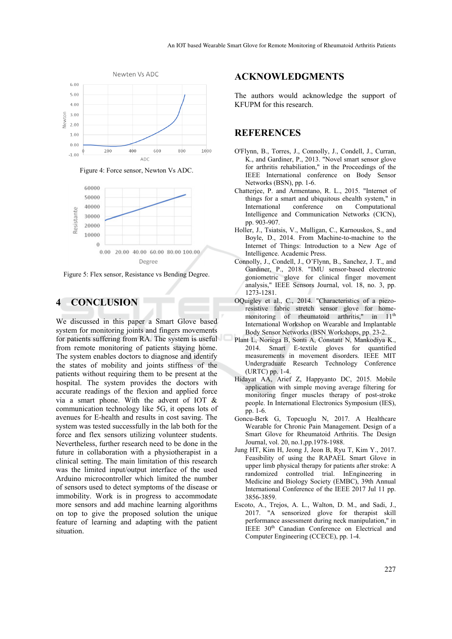

Figure 4: Force sensor, Newton Vs ADC.



Figure 5: Flex sensor, Resistance vs Bending Degree.

### **4 CONCLUSION**

We discussed in this paper a Smart Glove based system for monitoring joints and fingers movements for patients suffering from RA. The system is useful from remote monitoring of patients staying home. The system enables doctors to diagnose and identify the states of mobility and joints stiffness of the patients without requiring them to be present at the hospital. The system provides the doctors with accurate readings of the flexion and applied force via a smart phone. With the advent of IOT & communication technology like 5G, it opens lots of avenues for E-health and results in cost saving. The system was tested successfully in the lab both for the force and flex sensors utilizing volunteer students. Nevertheless, further research need to be done in the future in collaboration with a physiotherapist in a clinical setting. The main limitation of this research was the limited input/output interface of the used Arduino microcontroller which limited the number of sensors used to detect symptoms of the disease or immobility. Work is in progress to accommodate more sensors and add machine learning algorithms on top to give the proposed solution the unique feature of learning and adapting with the patient situation.

#### **ACKNOWLEDGMENTS**

The authors would acknowledge the support of KFUPM for this research.

### **REFERENCES**

- O'Flynn, B., Torres, J., Connolly, J., Condell, J., Curran, K., and Gardiner, P., 2013. "Novel smart sensor glove for arthritis rehabiliation," in the Proceedings of the IEEE International conference on Body Sensor Networks (BSN), pp. 1-6.
- Chatterjee, P. and Armentano, R. L., 2015. "Internet of things for a smart and ubiquitous ehealth system," in International conference on Computational Intelligence and Communication Networks (CICN), pp. 903-907.
- Holler, J., Tsiatsis, V., Mulligan, C., Karnouskos, S., and Boyle, D., 2014. From Machine-to-machine to the Internet of Things: Introduction to a New Age of Intelligence. Academic Press.
- Connolly, J., Condell, J., O'Flynn, B., Sanchez, J. T., and Gardiner, P., 2018. "IMU sensor-based electronic goniometric glove for clinical finger movement analysis," IEEE Sensors Journal, vol. 18, no. 3, pp. 1273-1281.
- OQuigley et al., C., 2014. "Characteristics of a piezoresistive fabric stretch sensor glove for homemonitoring of rheumatoid arthritis," in 11<sup>th</sup> International Workshop on Wearable and Implantable Body Sensor Networks (BSN Workshops, pp. 23-2.
- Plant L, Noriega B, Sonti A, Constant N, Mankodiya K., 2014. Smart E-textile gloves for quantified measurements in movement disorders. IEEE MIT Undergraduate Research Technology Conference (URTC) pp. 1-4.
- Hidayat AA, Arief Z, Happyanto DC, 2015. Mobile application with simple moving average filtering for monitoring finger muscles therapy of post-stroke people. In International Electronics Symposium (IES), pp. 1-6.
- Goncu-Berk G, Topcuoglu N, 2017. A Healthcare Wearable for Chronic Pain Management. Design of a Smart Glove for Rheumatoid Arthritis. The Design Journal, vol. 20, no.1,pp.1978-1988.
- Jung HT, Kim H, Jeong J, Jeon B, Ryu T, Kim Y., 2017. Feasibility of using the RAPAEL Smart Glove in upper limb physical therapy for patients after stroke: A randomized controlled trial. InEngineering in Medicine and Biology Society (EMBC), 39th Annual International Conference of the IEEE 2017 Jul 11 pp. 3856-3859.
- Escoto, A., Trejos, A. L., Walton, D. M., and Sadi, J., 2017. "A sensorized glove for therapist skill performance assessment during neck manipulation," in IEEE 30th Canadian Conference on Electrical and Computer Engineering (CCECE), pp. 1-4.